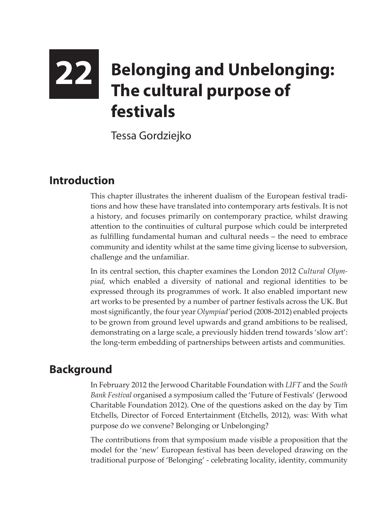# **22 Belonging and Unbelonging: The cultural purpose of festivals**

Tessa Gordziejko

## **Introduction**

This chapter illustrates the inherent dualism of the European festival traditions and how these have translated into contemporary arts festivals. It is not a history, and focuses primarily on contemporary practice, whilst drawing attention to the continuities of cultural purpose which could be interpreted as fulfilling fundamental human and cultural needs – the need to embrace community and identity whilst at the same time giving license to subversion, challenge and the unfamiliar.

In its central section, this chapter examines the London 2012 *Cultural Olympiad,* which enabled a diversity of national and regional identities to be expressed through its programmes of work. It also enabled important new art works to be presented by a number of partner festivals across the UK. But most significantly, the four year *Olympiad'*period (2008-2012) enabled projects to be grown from ground level upwards and grand ambitions to be realised, demonstrating on a large scale, a previously hidden trend towards 'slow art': the long-term embedding of partnerships between artists and communities.

## **Background**

In February 2012 the Jerwood Charitable Foundation with *LIFT* and the *South Bank Festival* organised a symposium called the 'Future of Festivals' (Jerwood Charitable Foundation 2012). One of the questions asked on the day by Tim Etchells, Director of Forced Entertainment (Etchells, 2012), was: With what purpose do we convene? Belonging or Unbelonging?

The contributions from that symposium made visible a proposition that the model for the 'new' European festival has been developed drawing on the traditional purpose of 'Belonging' - celebrating locality, identity, community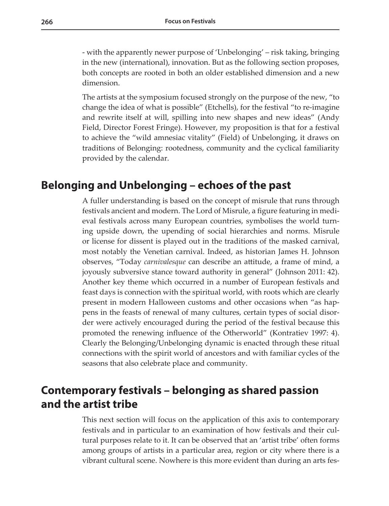- with the apparently newer purpose of 'Unbelonging' – risk taking, bringing in the new (international), innovation. But as the following section proposes, both concepts are rooted in both an older established dimension and a new dimension.

The artists at the symposium focused strongly on the purpose of the new, "to change the idea of what is possible" (Etchells), for the festival "to re-imagine and rewrite itself at will, spilling into new shapes and new ideas" (Andy Field, Director Forest Fringe). However, my proposition is that for a festival to achieve the "wild amnesiac vitality" (Field) of Unbelonging, it draws on traditions of Belonging: rootedness, community and the cyclical familiarity provided by the calendar.

#### **Belonging and Unbelonging – echoes of the past**

A fuller understanding is based on the concept of misrule that runs through festivals ancient and modern. The Lord of Misrule, a figure featuring in medieval festivals across many European countries, symbolises the world turning upside down, the upending of social hierarchies and norms. Misrule or license for dissent is played out in the traditions of the masked carnival, most notably the Venetian carnival. Indeed, as historian James H. Johnson observes, "Today *carnivalesque* can describe an attitude, a frame of mind, a joyously subversive stance toward authority in general" (Johnson 2011: 42). Another key theme which occurred in a number of European festivals and feast days is connection with the spiritual world, with roots which are clearly present in modern Halloween customs and other occasions when "as happens in the feasts of renewal of many cultures, certain types of social disorder were actively encouraged during the period of the festival because this promoted the renewing influence of the Otherworld" (Kontratiev 1997: 4). Clearly the Belonging/Unbelonging dynamic is enacted through these ritual connections with the spirit world of ancestors and with familiar cycles of the seasons that also celebrate place and community.

## **Contemporary festivals – belonging as shared passion and the artist tribe**

This next section will focus on the application of this axis to contemporary festivals and in particular to an examination of how festivals and their cultural purposes relate to it. It can be observed that an 'artist tribe' often forms among groups of artists in a particular area, region or city where there is a vibrant cultural scene. Nowhere is this more evident than during an arts fes-